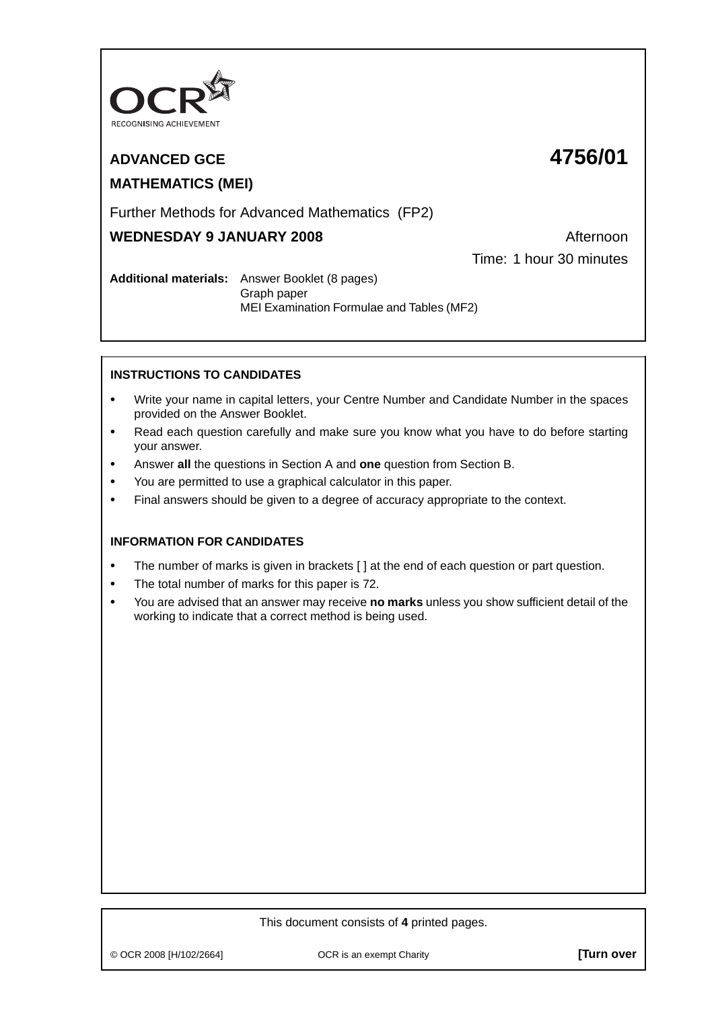

# **ADVANCED GCE 4756/01 MATHEMATICS (MEI)**

Further Methods for Advanced Mathematics (FP2)

# **WEDNESDAY 9 JANUARY 2008** Afternoon

Time: 1 hour 30 minutes

**Additional materials:** Answer Booklet (8 pages) Graph paper MEI Examination Formulae and Tables (MF2)

# **INSTRUCTIONS TO CANDIDATES**

- **•** Write your name in capital letters, your Centre Number and Candidate Number in the spaces provided on the Answer Booklet.
- **•** Read each question carefully and make sure you know what you have to do before starting your answer.
- **•** Answer **all** the questions in Section A and **one** question from Section B.
- **•** You are permitted to use a graphical calculator in this paper.
- **•** Final answers should be given to a degree of accuracy appropriate to the context.

## **INFORMATION FOR CANDIDATES**

- The number of marks is given in brackets [ ] at the end of each question or part question.
- **•** The total number of marks for this paper is 72.
- **•** You are advised that an answer may receive **no marks** unless you show sufficient detail of the working to indicate that a correct method is being used.

# This document consists of **4** printed pages.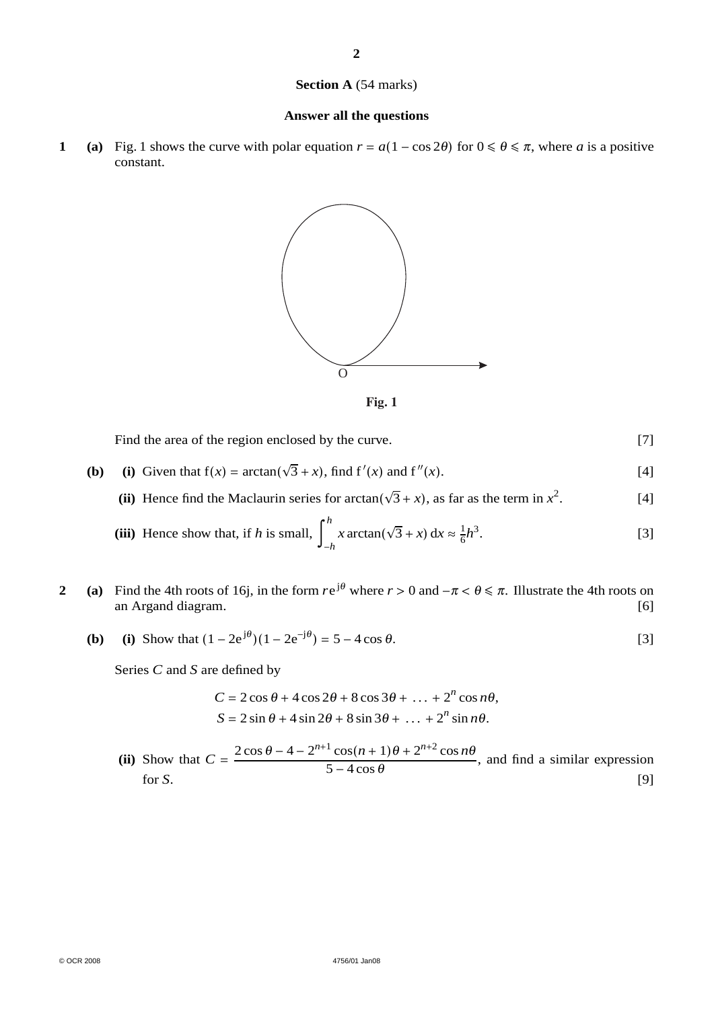#### **Section A** (54 marks)

#### **Answer all the questions**

**1** (a) Fig. 1 shows the curve with polar equation  $r = a(1 - \cos 2\theta)$  for  $0 \le \theta \le \pi$ , where *a* is a positive constant.



**Fig. 1**

Find the area of the region enclosed by the curve. [7]

- **(b)** (i) Given that  $f(x) = \arctan(\sqrt{3} + x)$ , find  $f'(x)$  and  $f''(x)$ . [4]
	- (ii) Hence find the Maclaurin series for arctan( $\sqrt{3} + x$ ), as far as the term in  $x^2$ . [4]

(iii) Hence show that, if *h* is small, 
$$
\int_{-h}^{h} x \arctan(\sqrt{3} + x) dx \approx \frac{1}{6}h^3
$$
. [3]

- **2** (a) Find the 4th roots of 16j, in the form  $re^{j\theta}$  where  $r > 0$  and  $-\pi < \theta \le \pi$ . Illustrate the 4th roots on an Argand diagram. [6] an Argand diagram. [6]
	- **(b)** (i) Show that  $(1 2e^{j\theta})(1 2e^{-j\theta}) = 5 4\cos\theta$ . [3]

Series *C* and *S* are defined by

$$
C = 2\cos\theta + 4\cos 2\theta + 8\cos 3\theta + \dots + 2^n \cos n\theta,
$$
  

$$
S = 2\sin\theta + 4\sin 2\theta + 8\sin 3\theta + \dots + 2^n \sin n\theta.
$$

(ii) Show that  $C = \frac{2 \cos \theta - 4 - 2^{n+1} \cos(n+1)\theta + 2^{n+2} \cos n\theta}{5 - 4 \cos \theta}$ , and find a similar expression for *S*. [9]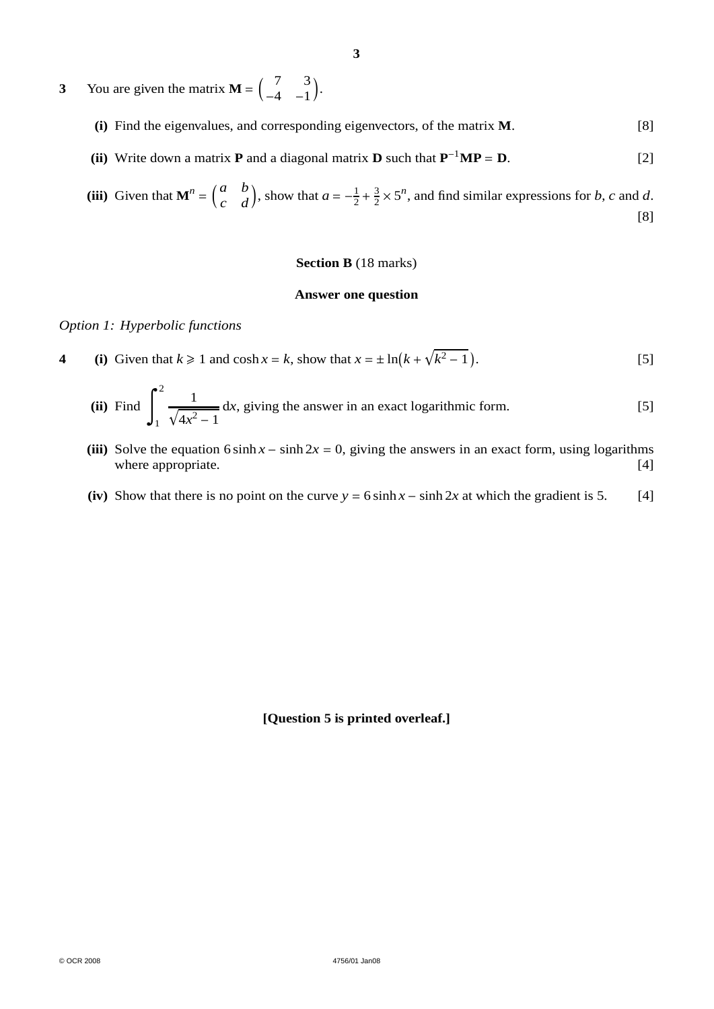- **3** You are given the matrix  $\mathbf{M} = \begin{pmatrix} 7 & 3 \\ -4 & -1 \end{pmatrix}$ .
	- **(i)** Find the eigenvalues, and corresponding eigenvectors, of the matrix **M**. [8]
	- **(ii)** Write down a matrix **P** and a diagonal matrix **D** such that  $P^{-1}MP = D$ . [2]

(iii) Given that 
$$
\mathbf{M}^n = \begin{pmatrix} a & b \\ c & d \end{pmatrix}
$$
, show that  $a = -\frac{1}{2} + \frac{3}{2} \times 5^n$ , and find similar expressions for *b*, *c* and *d*.

#### **Section B** (18 marks)

### **Answer one question**

#### *Option 1: Hyperbolic functions*

**4** (i) Given that  $k \ge 1$  and  $\cosh x = k$ , show that  $x = \pm \ln(k + \sqrt{k^2 - 1})$ . [5]

(ii) Find 
$$
\int_{1}^{2} \frac{1}{\sqrt{4x^2 - 1}} dx
$$
, giving the answer in an exact logarithmic form. [5]

- (iii) Solve the equation 6 sinh  $x \sinh 2x = 0$ , giving the answers in an exact form, using logarithms where appropriate. [4] where appropriate.
- (iv) Show that there is no point on the curve  $y = 6 \sinh x \sinh 2x$  at which the gradient is 5. [4]

## **[Question 5 is printed overleaf.]**